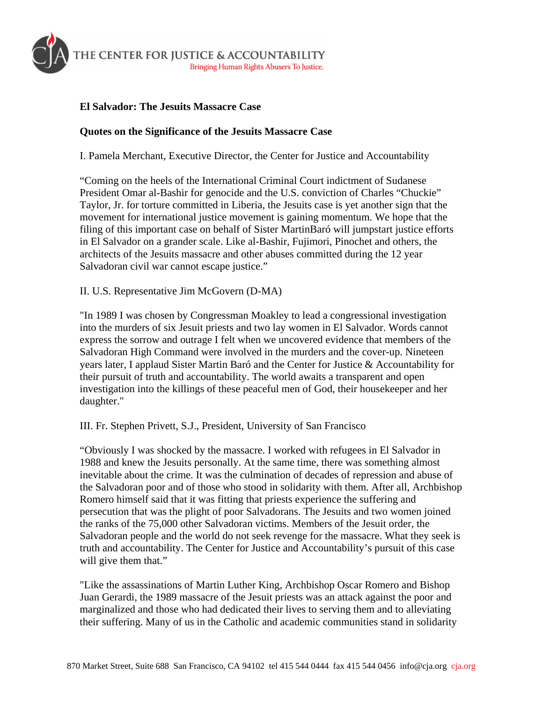

## **El Salvador: The Jesuits Massacre Case**

## **Quotes on the Significance of the Jesuits Massacre Case**

I. Pamela Merchant, Executive Director, the Center for Justice and Accountability

"Coming on the heels of the International Criminal Court indictment of Sudanese President Omar al-Bashir for genocide and the U.S. conviction of Charles "Chuckie" Taylor, Jr. for torture committed in Liberia, the Jesuits case is yet another sign that the movement for international justice movement is gaining momentum. We hope that the filing of this important case on behalf of Sister MartinBaró will jumpstart justice efforts in El Salvador on a grander scale. Like al-Bashir, Fujimori, Pinochet and others, the architects of the Jesuits massacre and other abuses committed during the 12 year Salvadoran civil war cannot escape justice."

II. U.S. Representative Jim McGovern (D-MA)

"In 1989 I was chosen by Congressman Moakley to lead a congressional investigation into the murders of six Jesuit priests and two lay women in El Salvador. Words cannot express the sorrow and outrage I felt when we uncovered evidence that members of the Salvadoran High Command were involved in the murders and the cover-up. Nineteen years later, I applaud Sister Martin Baró and the Center for Justice & Accountability for their pursuit of truth and accountability. The world awaits a transparent and open investigation into the killings of these peaceful men of God, their housekeeper and her daughter."

III. Fr. Stephen Privett, S.J., President, University of San Francisco

"Obviously I was shocked by the massacre. I worked with refugees in El Salvador in 1988 and knew the Jesuits personally. At the same time, there was something almost inevitable about the crime. It was the culmination of decades of repression and abuse of the Salvadoran poor and of those who stood in solidarity with them. After all, Archbishop Romero himself said that it was fitting that priests experience the suffering and persecution that was the plight of poor Salvadorans. The Jesuits and two women joined the ranks of the 75,000 other Salvadoran victims. Members of the Jesuit order, the Salvadoran people and the world do not seek revenge for the massacre. What they seek is truth and accountability. The Center for Justice and Accountability's pursuit of this case will give them that."

"Like the assassinations of Martin Luther King, Archbishop Oscar Romero and Bishop Juan Gerardi, the 1989 massacre of the Jesuit priests was an attack against the poor and marginalized and those who had dedicated their lives to serving them and to alleviating their suffering. Many of us in the Catholic and academic communities stand in solidarity